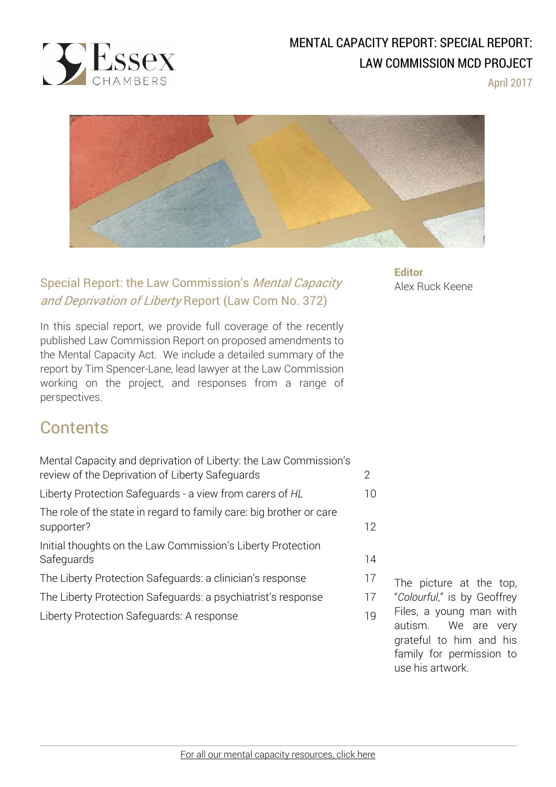

# MENTAL CAPACITY REPORT: SPECIAL REPORT: LAW COMMISSION MCD PROJECT

April 2017



# Special Report: the Law Commission's Mental Capacity and Deprivation of Liberty Report (Law Com No. 372)

In this special report, we provide full coverage of the recently published Law Commission Report on proposed amendments to the Mental Capacity Act. We include a detailed summary of the report by Tim Spencer-Lane, lead lawyer at the Law Commission working on the project, and responses from a range of perspectives.

## **Editor** Alex Ruck Keene

# **Contents**

| Mental Capacity and deprivation of Liberty: the Law Commission's<br>review of the Deprivation of Liberty Safeguards | 2  |
|---------------------------------------------------------------------------------------------------------------------|----|
| Liberty Protection Safeguards - a view from carers of HL                                                            | 10 |
| The role of the state in regard to family care: big brother or care<br>supporter?                                   | 12 |
| Initial thoughts on the Law Commission's Liberty Protection<br>Safeguards                                           | 14 |
| The Liberty Protection Safeguards: a clinician's response                                                           | 17 |
| The Liberty Protection Safeguards: a psychiatrist's response                                                        | 17 |
| Liberty Protection Safeguards: A response                                                                           | 19 |
|                                                                                                                     |    |

The picture at the top, "*Colourful*," is by Geoffrey Files, a young man with autism. We are very grateful to him and his family for permission to use his artwork.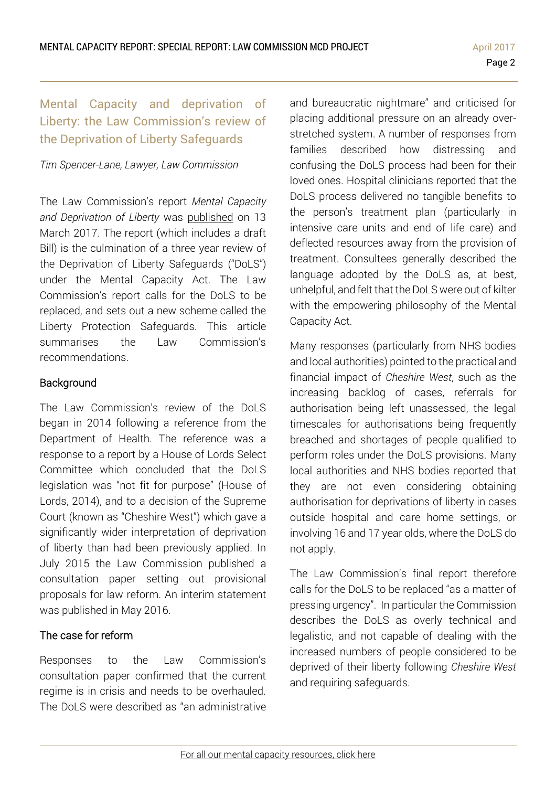# <span id="page-1-0"></span>Mental Capacity and deprivation of Liberty: the Law Commission's review of the Deprivation of Liberty Safeguards

### *Tim Spencer-Lane, Lawyer, Law Commission*

The Law Commission's report *Mental Capacity and Deprivation of Liberty* was [published](http://www.lawcom.gov.uk/project/mental-capacity-and-deprivation-of-liberty/) on 13 March 2017. The report (which includes a draft Bill) is the culmination of a three year review of the Deprivation of Liberty Safeguards ("DoLS") under the Mental Capacity Act. The Law Commission's report calls for the DoLS to be replaced, and sets out a new scheme called the Liberty Protection Safeguards. This article summarises the Law Commission's recommendations.

### Background

The Law Commission's review of the DoLS began in 2014 following a reference from the Department of Health. The reference was a response to a report by a House of Lords Select Committee which concluded that the DoLS legislation was "not fit for purpose" (House of Lords, 2014), and to a decision of the Supreme Court (known as "Cheshire West") which gave a significantly wider interpretation of deprivation of liberty than had been previously applied. In July 2015 the Law Commission published a consultation paper setting out provisional proposals for law reform. An interim statement was published in May 2016.

#### The case for reform

Responses to the Law Commission's consultation paper confirmed that the current regime is in crisis and needs to be overhauled. The DoLS were described as "an administrative and bureaucratic nightmare" and criticised for placing additional pressure on an already overstretched system. A number of responses from families described how distressing and confusing the DoLS process had been for their loved ones. Hospital clinicians reported that the DoLS process delivered no tangible benefits to the person's treatment plan (particularly in intensive care units and end of life care) and deflected resources away from the provision of treatment. Consultees generally described the language adopted by the DoLS as, at best, unhelpful, and felt that the DoLS were out of kilter with the empowering philosophy of the Mental Capacity Act.

Many responses (particularly from NHS bodies and local authorities) pointed to the practical and financial impact of *Cheshire West*, such as the increasing backlog of cases, referrals for authorisation being left unassessed, the legal timescales for authorisations being frequently breached and shortages of people qualified to perform roles under the DoLS provisions. Many local authorities and NHS bodies reported that they are not even considering obtaining authorisation for deprivations of liberty in cases outside hospital and care home settings, or involving 16 and 17 year olds, where the DoLS do not apply.

The Law Commission's final report therefore calls for the DoLS to be replaced "as a matter of pressing urgency". In particular the Commission describes the DoLS as overly technical and legalistic, and not capable of dealing with the increased numbers of people considered to be deprived of their liberty following *Cheshire West* and requiring safeguards.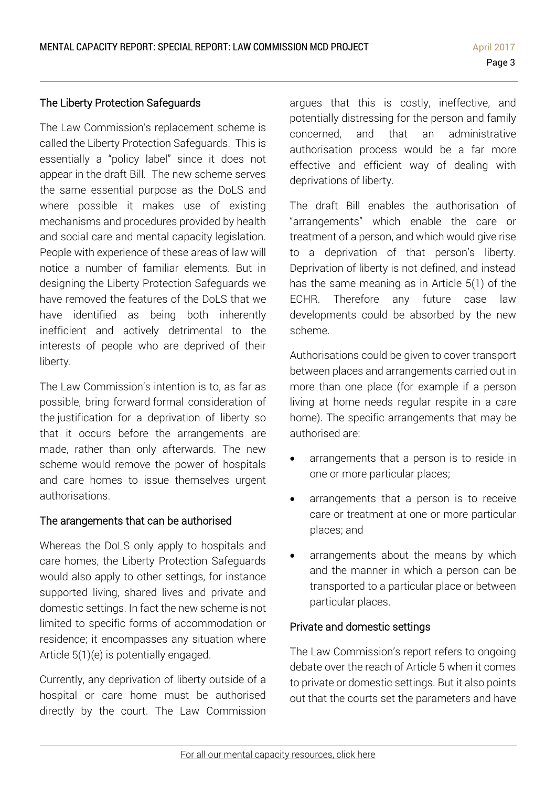### The Liberty Protection Safeguards

The Law Commission's replacement scheme is called the Liberty Protection Safeguards. This is essentially a "policy label" since it does not appear in the draft Bill. The new scheme serves the same essential purpose as the DoLS and where possible it makes use of existing mechanisms and procedures provided by health and social care and mental capacity legislation. People with experience of these areas of law will notice a number of familiar elements. But in designing the Liberty Protection Safeguards we have removed the features of the DoLS that we have identified as being both inherently inefficient and actively detrimental to the interests of people who are deprived of their liberty.

The Law Commission's intention is to, as far as possible, bring forward formal consideration of the justification for a deprivation of liberty so that it occurs before the arrangements are made, rather than only afterwards. The new scheme would remove the power of hospitals and care homes to issue themselves urgent authorisations.

#### The arangements that can be authorised

Whereas the DoLS only apply to hospitals and care homes, the Liberty Protection Safeguards would also apply to other settings, for instance supported living, shared lives and private and domestic settings. In fact the new scheme is not limited to specific forms of accommodation or residence; it encompasses any situation where Article 5(1)(e) is potentially engaged.

Currently, any deprivation of liberty outside of a hospital or care home must be authorised directly by the court. The Law Commission argues that this is costly, ineffective, and potentially distressing for the person and family concerned, and that an administrative authorisation process would be a far more effective and efficient way of dealing with deprivations of liberty.

The draft Bill enables the authorisation of "arrangements" which enable the care or treatment of a person, and which would give rise to a deprivation of that person's liberty. Deprivation of liberty is not defined, and instead has the same meaning as in Article 5(1) of the ECHR. Therefore any future case law developments could be absorbed by the new scheme.

Authorisations could be given to cover transport between places and arrangements carried out in more than one place (for example if a person living at home needs regular respite in a care home). The specific arrangements that may be authorised are:

- arrangements that a person is to reside in one or more particular places;
- arrangements that a person is to receive care or treatment at one or more particular places; and
- arrangements about the means by which and the manner in which a person can be transported to a particular place or between particular places.

#### Private and domestic settings

The Law Commission's report refers to ongoing debate over the reach of Article 5 when it comes to private or domestic settings. But it also points out that the courts set the parameters and have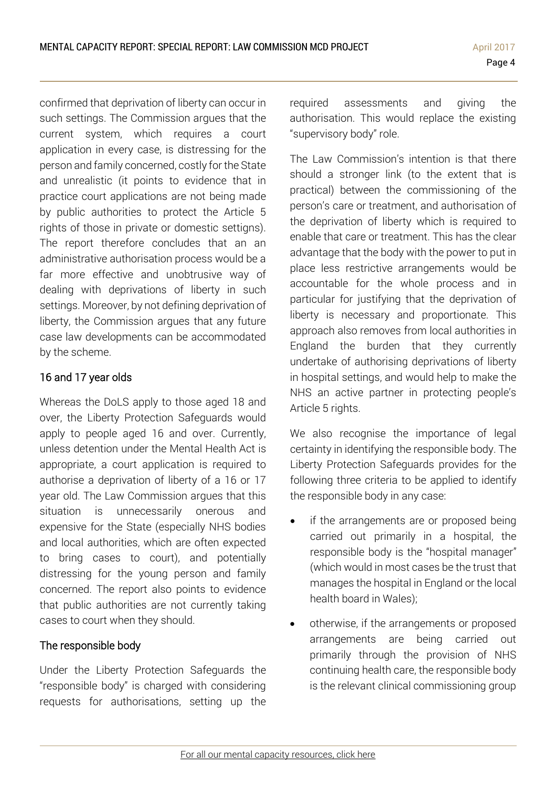confirmed that deprivation of liberty can occur in such settings. The Commission argues that the current system, which requires a court application in every case, is distressing for the person and family concerned, costly for the State and unrealistic (it points to evidence that in practice court applications are not being made by public authorities to protect the Article 5 rights of those in private or domestic settigns). The report therefore concludes that an an administrative authorisation process would be a far more effective and unobtrusive way of dealing with deprivations of liberty in such settings. Moreover, by not defining deprivation of liberty, the Commission argues that any future case law developments can be accommodated by the scheme.

## 16 and 17 year olds

Whereas the DoLS apply to those aged 18 and over, the Liberty Protection Safeguards would apply to people aged 16 and over. Currently, unless detention under the Mental Health Act is appropriate, a court application is required to authorise a deprivation of liberty of a 16 or 17 year old. The Law Commission argues that this situation is unnecessarily onerous and expensive for the State (especially NHS bodies and local authorities, which are often expected to bring cases to court), and potentially distressing for the young person and family concerned. The report also points to evidence that public authorities are not currently taking cases to court when they should.

## The responsible body

Under the Liberty Protection Safeguards the "responsible body" is charged with considering requests for authorisations, setting up the

required assessments and giving the authorisation. This would replace the existing "supervisory body" role.

The Law Commission's intention is that there should a stronger link (to the extent that is practical) between the commissioning of the person's care or treatment, and authorisation of the deprivation of liberty which is required to enable that care or treatment. This has the clear advantage that the body with the power to put in place less restrictive arrangements would be accountable for the whole process and in particular for justifying that the deprivation of liberty is necessary and proportionate. This approach also removes from local authorities in England the burden that they currently undertake of authorising deprivations of liberty in hospital settings, and would help to make the NHS an active partner in protecting people's Article 5 rights.

We also recognise the importance of legal certainty in identifying the responsible body. The Liberty Protection Safeguards provides for the following three criteria to be applied to identify the responsible body in any case:

- if the arrangements are or proposed being carried out primarily in a hospital, the responsible body is the "hospital manager" (which would in most cases be the trust that manages the hospital in England or the local health board in Wales);
- otherwise, if the arrangements or proposed arrangements are being carried out primarily through the provision of NHS continuing health care, the responsible body is the relevant clinical commissioning group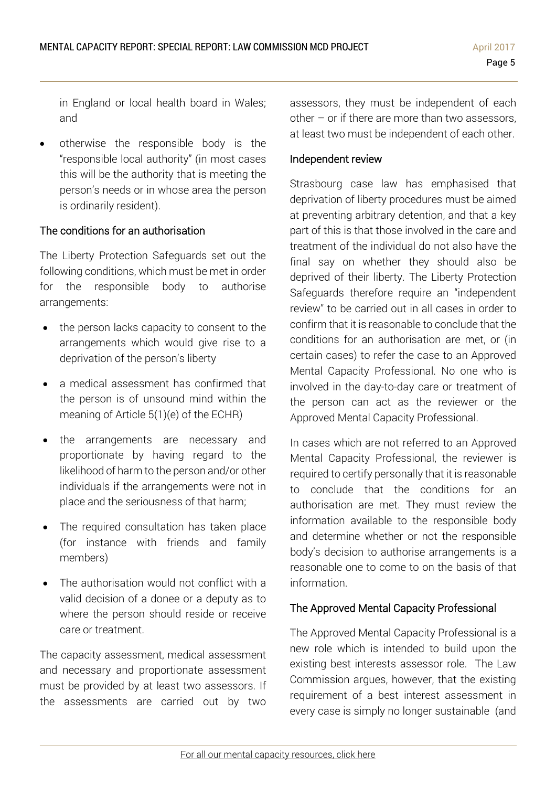in England or local health board in Wales; and

• otherwise the responsible body is the "responsible local authority" (in most cases this will be the authority that is meeting the person's needs or in whose area the person is ordinarily resident).

#### The conditions for an authorisation

The Liberty Protection Safeguards set out the following conditions, which must be met in order for the responsible body to authorise arrangements:

- the person lacks capacity to consent to the arrangements which would give rise to a deprivation of the person's liberty
- a medical assessment has confirmed that the person is of unsound mind within the meaning of Article 5(1)(e) of the ECHR)
- the arrangements are necessary and proportionate by having regard to the likelihood of harm to the person and/or other individuals if the arrangements were not in place and the seriousness of that harm;
- The required consultation has taken place (for instance with friends and family members)
- The authorisation would not conflict with a valid decision of a donee or a deputy as to where the person should reside or receive care or treatment.

The capacity assessment, medical assessment and necessary and proportionate assessment must be provided by at least two assessors. If the assessments are carried out by two assessors, they must be independent of each other – or if there are more than two assessors, at least two must be independent of each other.

#### Independent review

Strasbourg case law has emphasised that deprivation of liberty procedures must be aimed at preventing arbitrary detention, and that a key part of this is that those involved in the care and treatment of the individual do not also have the final say on whether they should also be deprived of their liberty. The Liberty Protection Safeguards therefore require an "independent review" to be carried out in all cases in order to confirm that it is reasonable to conclude that the conditions for an authorisation are met, or (in certain cases) to refer the case to an Approved Mental Capacity Professional. No one who is involved in the day-to-day care or treatment of the person can act as the reviewer or the Approved Mental Capacity Professional.

In cases which are not referred to an Approved Mental Capacity Professional, the reviewer is required to certify personally that it is reasonable to conclude that the conditions for an authorisation are met. They must review the information available to the responsible body and determine whether or not the responsible body's decision to authorise arrangements is a reasonable one to come to on the basis of that information.

#### The Approved Mental Capacity Professional

The Approved Mental Capacity Professional is a new role which is intended to build upon the existing best interests assessor role. The Law Commission argues, however, that the existing requirement of a best interest assessment in every case is simply no longer sustainable (and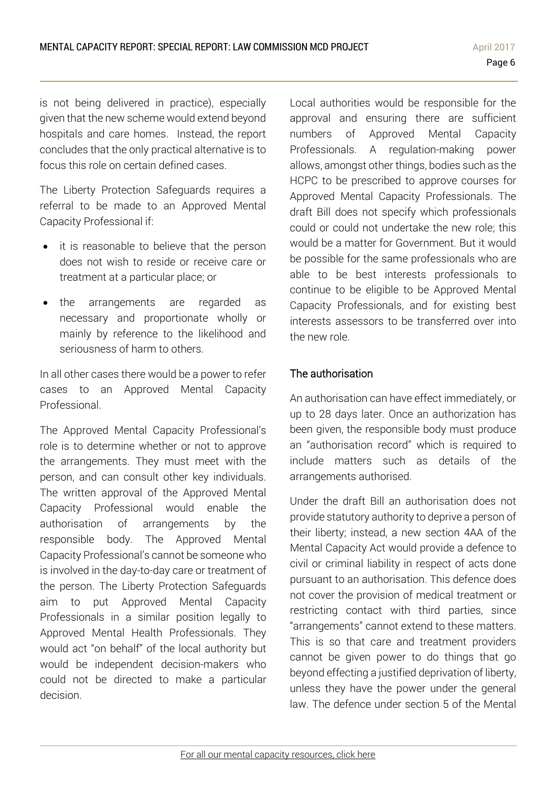is not being delivered in practice), especially given that the new scheme would extend beyond hospitals and care homes. Instead, the report concludes that the only practical alternative is to focus this role on certain defined cases.

The Liberty Protection Safeguards requires a referral to be made to an Approved Mental Capacity Professional if:

- it is reasonable to believe that the person does not wish to reside or receive care or treatment at a particular place; or
- the arrangements are regarded as necessary and proportionate wholly or mainly by reference to the likelihood and seriousness of harm to others.

In all other cases there would be a power to refer cases to an Approved Mental Capacity Professional.

The Approved Mental Capacity Professional's role is to determine whether or not to approve the arrangements. They must meet with the person, and can consult other key individuals. The written approval of the Approved Mental Capacity Professional would enable the authorisation of arrangements by the responsible body. The Approved Mental Capacity Professional's cannot be someone who is involved in the day-to-day care or treatment of the person. The Liberty Protection Safeguards aim to put Approved Mental Capacity Professionals in a similar position legally to Approved Mental Health Professionals. They would act "on behalf" of the local authority but would be independent decision-makers who could not be directed to make a particular decision.

Local authorities would be responsible for the approval and ensuring there are sufficient numbers of Approved Mental Capacity Professionals. A regulation-making power allows, amongst other things, bodies such as the HCPC to be prescribed to approve courses for Approved Mental Capacity Professionals. The draft Bill does not specify which professionals could or could not undertake the new role; this would be a matter for Government. But it would be possible for the same professionals who are able to be best interests professionals to continue to be eligible to be Approved Mental Capacity Professionals, and for existing best interests assessors to be transferred over into the new role.

### The authorisation

An authorisation can have effect immediately, or up to 28 days later. Once an authorization has been given, the responsible body must produce an "authorisation record" which is required to include matters such as details of the arrangements authorised.

Under the draft Bill an authorisation does not provide statutory authority to deprive a person of their liberty; instead, a new section 4AA of the Mental Capacity Act would provide a defence to civil or criminal liability in respect of acts done pursuant to an authorisation. This defence does not cover the provision of medical treatment or restricting contact with third parties, since "arrangements" cannot extend to these matters. This is so that care and treatment providers cannot be given power to do things that go beyond effecting a justified deprivation of liberty, unless they have the power under the general law. The defence under section 5 of the Mental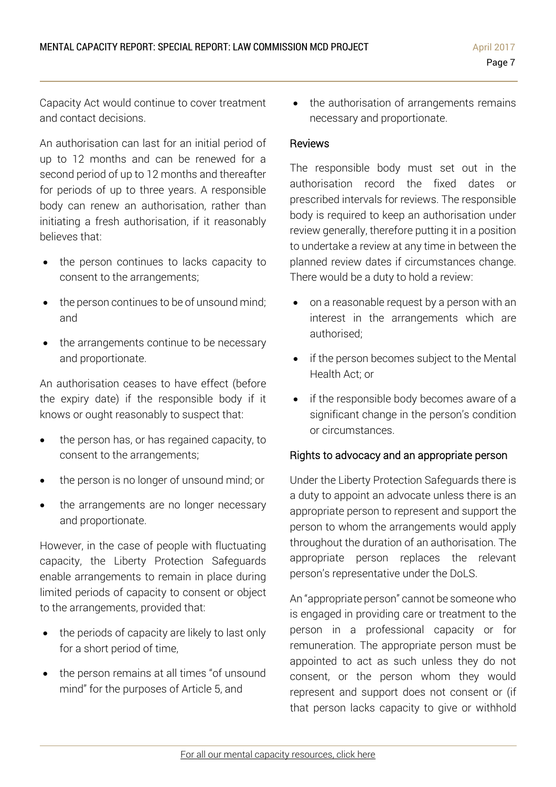Capacity Act would continue to cover treatment and contact decisions.

An authorisation can last for an initial period of up to 12 months and can be renewed for a second period of up to 12 months and thereafter for periods of up to three years. A responsible body can renew an authorisation, rather than initiating a fresh authorisation, if it reasonably believes that:

- the person continues to lacks capacity to consent to the arrangements;
- the person continues to be of unsound mind: and
- the arrangements continue to be necessary and proportionate.

An authorisation ceases to have effect (before the expiry date) if the responsible body if it knows or ought reasonably to suspect that:

- the person has, or has regained capacity, to consent to the arrangements;
- the person is no longer of unsound mind; or
- the arrangements are no longer necessary and proportionate.

However, in the case of people with fluctuating capacity, the Liberty Protection Safeguards enable arrangements to remain in place during limited periods of capacity to consent or object to the arrangements, provided that:

- the periods of capacity are likely to last only for a short period of time,
- the person remains at all times "of unsound mind" for the purposes of Article 5, and

the authorisation of arrangements remains necessary and proportionate.

#### **Reviews**

The responsible body must set out in the authorisation record the fixed dates or prescribed intervals for reviews. The responsible body is required to keep an authorisation under review generally, therefore putting it in a position to undertake a review at any time in between the planned review dates if circumstances change. There would be a duty to hold a review:

- on a reasonable request by a person with an interest in the arrangements which are authorised;
- if the person becomes subject to the Mental Health Act; or
- if the responsible body becomes aware of a significant change in the person's condition or circumstances.

#### Rights to advocacy and an appropriate person

Under the Liberty Protection Safeguards there is a duty to appoint an advocate unless there is an appropriate person to represent and support the person to whom the arrangements would apply throughout the duration of an authorisation. The appropriate person replaces the relevant person's representative under the DoLS.

An "appropriate person" cannot be someone who is engaged in providing care or treatment to the person in a professional capacity or for remuneration. The appropriate person must be appointed to act as such unless they do not consent, or the person whom they would represent and support does not consent or (if that person lacks capacity to give or withhold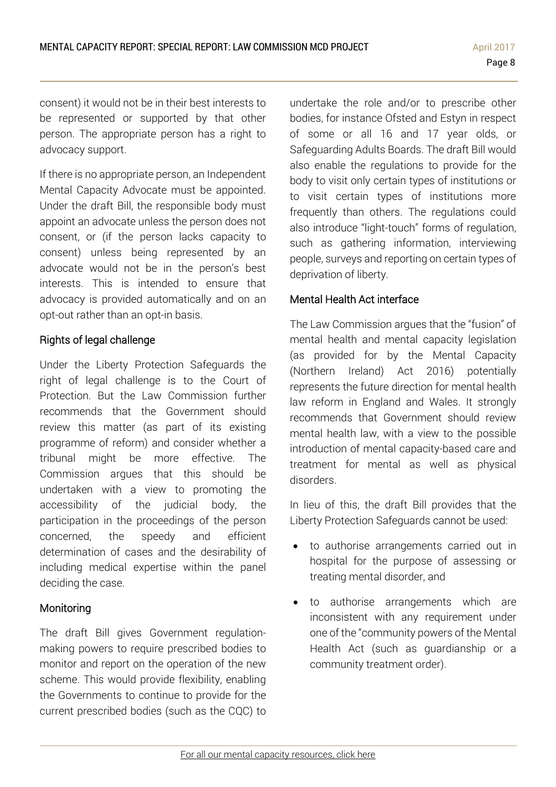consent) it would not be in their best interests to be represented or supported by that other person. The appropriate person has a right to advocacy support.

If there is no appropriate person, an Independent Mental Capacity Advocate must be appointed. Under the draft Bill, the responsible body must appoint an advocate unless the person does not consent, or (if the person lacks capacity to consent) unless being represented by an advocate would not be in the person's best interests. This is intended to ensure that advocacy is provided automatically and on an opt-out rather than an opt-in basis.

### Rights of legal challenge

Under the Liberty Protection Safeguards the right of legal challenge is to the Court of Protection. But the Law Commission further recommends that the Government should review this matter (as part of its existing programme of reform) and consider whether a tribunal might be more effective. The Commission argues that this should be undertaken with a view to promoting the accessibility of the judicial body, the participation in the proceedings of the person concerned, the speedy and efficient determination of cases and the desirability of including medical expertise within the panel deciding the case.

## Monitoring

The draft Bill gives Government regulationmaking powers to require prescribed bodies to monitor and report on the operation of the new scheme. This would provide flexibility, enabling the Governments to continue to provide for the current prescribed bodies (such as the CQC) to undertake the role and/or to prescribe other bodies, for instance Ofsted and Estyn in respect of some or all 16 and 17 year olds, or Safeguarding Adults Boards. The draft Bill would also enable the regulations to provide for the body to visit only certain types of institutions or to visit certain types of institutions more frequently than others. The regulations could also introduce "light-touch" forms of regulation, such as gathering information, interviewing people, surveys and reporting on certain types of deprivation of liberty.

### Mental Health Act interface

The Law Commission argues that the "fusion" of mental health and mental capacity legislation (as provided for by the Mental Capacity (Northern Ireland) Act 2016) potentially represents the future direction for mental health law reform in England and Wales. It strongly recommends that Government should review mental health law, with a view to the possible introduction of mental capacity-based care and treatment for mental as well as physical disorders.

In lieu of this, the draft Bill provides that the Liberty Protection Safeguards cannot be used:

- to authorise arrangements carried out in hospital for the purpose of assessing or treating mental disorder, and
- to authorise arrangements which are inconsistent with any requirement under one of the "community powers of the Mental Health Act (such as guardianship or a community treatment order).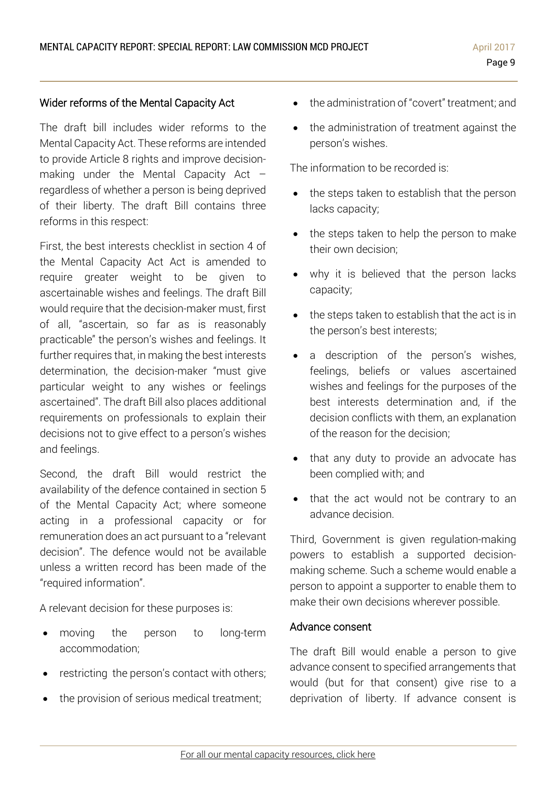#### Wider reforms of the Mental Capacity Act

The draft bill includes wider reforms to the Mental Capacity Act. These reforms are intended to provide Article 8 rights and improve decisionmaking under the Mental Capacity Act – regardless of whether a person is being deprived of their liberty. The draft Bill contains three reforms in this respect:

First, the best interests checklist in section 4 of the Mental Capacity Act Act is amended to require greater weight to be given to ascertainable wishes and feelings. The draft Bill would require that the decision-maker must, first of all, "ascertain, so far as is reasonably practicable" the person's wishes and feelings. It further requires that, in making the best interests determination, the decision-maker "must give particular weight to any wishes or feelings ascertained". The draft Bill also places additional requirements on professionals to explain their decisions not to give effect to a person's wishes and feelings.

Second, the draft Bill would restrict the availability of the defence contained in section 5 of the Mental Capacity Act; where someone acting in a professional capacity or for remuneration does an act pursuant to a "relevant decision". The defence would not be available unless a written record has been made of the "required information".

A relevant decision for these purposes is:

- moving the person to long-term accommodation;
- restricting the person's contact with others;
- the provision of serious medical treatment;
- the administration of "covert" treatment; and
- the administration of treatment against the person's wishes.

The information to be recorded is:

- the steps taken to establish that the person lacks capacity;
- the steps taken to help the person to make their own decision;
- why it is believed that the person lacks capacity;
- the steps taken to establish that the act is in the person's best interests;
- a description of the person's wishes, feelings, beliefs or values ascertained wishes and feelings for the purposes of the best interests determination and, if the decision conflicts with them, an explanation of the reason for the decision;
- that any duty to provide an advocate has been complied with; and
- that the act would not be contrary to an advance decision.

Third, Government is given regulation-making powers to establish a supported decisionmaking scheme. Such a scheme would enable a person to appoint a supporter to enable them to make their own decisions wherever possible.

#### Advance consent

The draft Bill would enable a person to give advance consent to specified arrangements that would (but for that consent) give rise to a deprivation of liberty. If advance consent is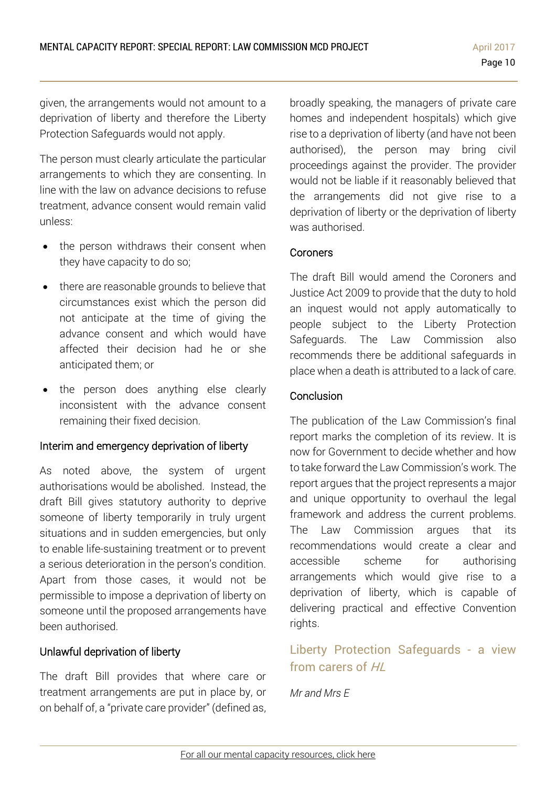given, the arrangements would not amount to a deprivation of liberty and therefore the Liberty Protection Safeguards would not apply.

The person must clearly articulate the particular arrangements to which they are consenting. In line with the law on advance decisions to refuse treatment, advance consent would remain valid unless:

- the person withdraws their consent when they have capacity to do so;
- there are reasonable grounds to believe that circumstances exist which the person did not anticipate at the time of giving the advance consent and which would have affected their decision had he or she anticipated them; or
- the person does anything else clearly inconsistent with the advance consent remaining their fixed decision.

#### Interim and emergency deprivation of liberty

As noted above, the system of urgent authorisations would be abolished. Instead, the draft Bill gives statutory authority to deprive someone of liberty temporarily in truly urgent situations and in sudden emergencies, but only to enable life-sustaining treatment or to prevent a serious deterioration in the person's condition. Apart from those cases, it would not be permissible to impose a deprivation of liberty on someone until the proposed arrangements have been authorised.

#### Unlawful deprivation of liberty

The draft Bill provides that where care or treatment arrangements are put in place by, or on behalf of, a "private care provider" (defined as,

broadly speaking, the managers of private care homes and independent hospitals) which give rise to a deprivation of liberty (and have not been authorised), the person may bring civil proceedings against the provider. The provider would not be liable if it reasonably believed that the arrangements did not give rise to a deprivation of liberty or the deprivation of liberty was authorised.

#### **Coroners**

The draft Bill would amend the Coroners and Justice Act 2009 to provide that the duty to hold an inquest would not apply automatically to people subject to the Liberty Protection Safeguards. The Law Commission also recommends there be additional safeguards in place when a death is attributed to a lack of care.

#### **Conclusion**

The publication of the Law Commission's final report marks the completion of its review. It is now for Government to decide whether and how to take forward the Law Commission's work. The report argues that the project represents a major and unique opportunity to overhaul the legal framework and address the current problems. The Law Commission argues that its recommendations would create a clear and accessible scheme for authorising arrangements which would give rise to a deprivation of liberty, which is capable of delivering practical and effective Convention rights.

# <span id="page-9-0"></span>Liberty Protection Safeguards - a view from carers of HL

*Mr and Mrs E*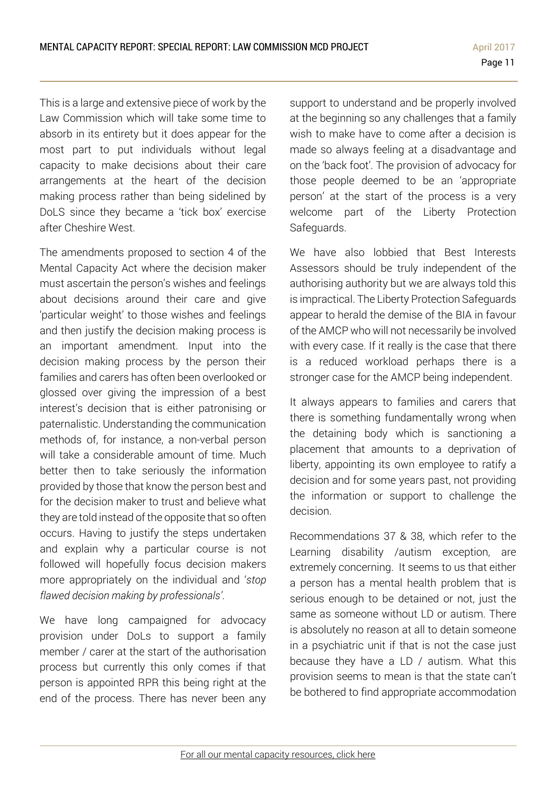This is a large and extensive piece of work by the Law Commission which will take some time to absorb in its entirety but it does appear for the most part to put individuals without legal capacity to make decisions about their care arrangements at the heart of the decision making process rather than being sidelined by DoLS since they became a 'tick box' exercise after Cheshire West.

The amendments proposed to section 4 of the Mental Capacity Act where the decision maker must ascertain the person's wishes and feelings about decisions around their care and give 'particular weight' to those wishes and feelings and then justify the decision making process is an important amendment. Input into the decision making process by the person their families and carers has often been overlooked or glossed over giving the impression of a best interest's decision that is either patronising or paternalistic. Understanding the communication methods of, for instance, a non-verbal person will take a considerable amount of time. Much better then to take seriously the information provided by those that know the person best and for the decision maker to trust and believe what they are told instead of the opposite that so often occurs. Having to justify the steps undertaken and explain why a particular course is not followed will hopefully focus decision makers more appropriately on the individual and '*stop flawed decision making by professionals'*.

We have long campaigned for advocacy provision under DoLs to support a family member / carer at the start of the authorisation process but currently this only comes if that person is appointed RPR this being right at the end of the process. There has never been any support to understand and be properly involved at the beginning so any challenges that a family wish to make have to come after a decision is made so always feeling at a disadvantage and on the 'back foot'. The provision of advocacy for those people deemed to be an 'appropriate person' at the start of the process is a very welcome part of the Liberty Protection Safeguards.

We have also lobbied that Best Interests Assessors should be truly independent of the authorising authority but we are always told this is impractical. The Liberty Protection Safeguards appear to herald the demise of the BIA in favour of the AMCP who will not necessarily be involved with every case. If it really is the case that there is a reduced workload perhaps there is a stronger case for the AMCP being independent.

It always appears to families and carers that there is something fundamentally wrong when the detaining body which is sanctioning a placement that amounts to a deprivation of liberty, appointing its own employee to ratify a decision and for some years past, not providing the information or support to challenge the decision.

Recommendations 37 & 38, which refer to the Learning disability /autism exception, are extremely concerning. It seems to us that either a person has a mental health problem that is serious enough to be detained or not, just the same as someone without LD or autism. There is absolutely no reason at all to detain someone in a psychiatric unit if that is not the case just because they have a LD / autism. What this provision seems to mean is that the state can't be bothered to find appropriate accommodation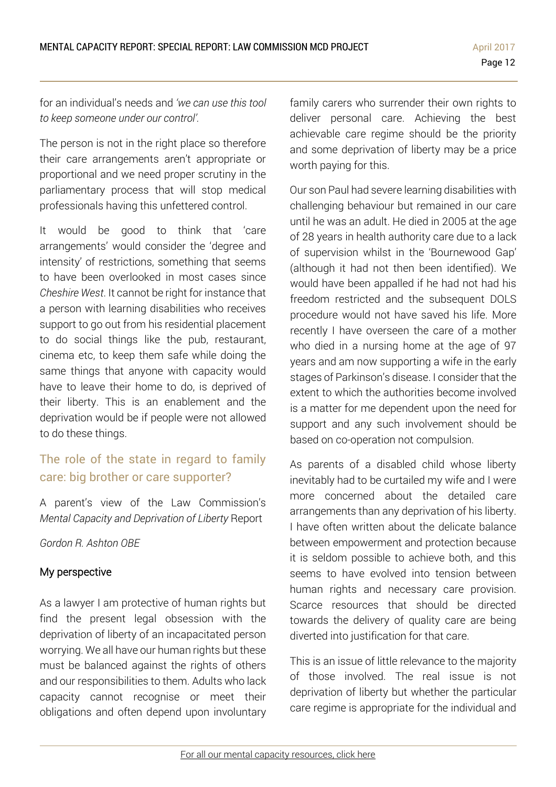for an individual's needs and *'we can use this tool to keep someone under our control'.*

The person is not in the right place so therefore their care arrangements aren't appropriate or proportional and we need proper scrutiny in the parliamentary process that will stop medical professionals having this unfettered control.

It would be good to think that 'care arrangements' would consider the 'degree and intensity' of restrictions, something that seems to have been overlooked in most cases since *Cheshire West*. It cannot be right for instance that a person with learning disabilities who receives support to go out from his residential placement to do social things like the pub, restaurant, cinema etc, to keep them safe while doing the same things that anyone with capacity would have to leave their home to do, is deprived of their liberty. This is an enablement and the deprivation would be if people were not allowed to do these things.

# <span id="page-11-0"></span>The role of the state in regard to family care: big brother or care supporter?

A parent's view of the Law Commission's *Mental Capacity and Deprivation of Liberty* Report

*Gordon R. Ashton OBE*

#### My perspective

As a lawyer I am protective of human rights but find the present legal obsession with the deprivation of liberty of an incapacitated person worrying. We all have our human rights but these must be balanced against the rights of others and our responsibilities to them. Adults who lack capacity cannot recognise or meet their obligations and often depend upon involuntary family carers who surrender their own rights to deliver personal care. Achieving the best achievable care regime should be the priority and some deprivation of liberty may be a price worth paying for this.

Our son Paul had severe learning disabilities with challenging behaviour but remained in our care until he was an adult. He died in 2005 at the age of 28 years in health authority care due to a lack of supervision whilst in the 'Bournewood Gap' (although it had not then been identified). We would have been appalled if he had not had his freedom restricted and the subsequent DOLS procedure would not have saved his life. More recently I have overseen the care of a mother who died in a nursing home at the age of 97 years and am now supporting a wife in the early stages of Parkinson's disease. I consider that the extent to which the authorities become involved is a matter for me dependent upon the need for support and any such involvement should be based on co-operation not compulsion.

As parents of a disabled child whose liberty inevitably had to be curtailed my wife and I were more concerned about the detailed care arrangements than any deprivation of his liberty. I have often written about the delicate balance between empowerment and protection because it is seldom possible to achieve both, and this seems to have evolved into tension between human rights and necessary care provision. Scarce resources that should be directed towards the delivery of quality care are being diverted into justification for that care.

This is an issue of little relevance to the majority of those involved. The real issue is not deprivation of liberty but whether the particular care regime is appropriate for the individual and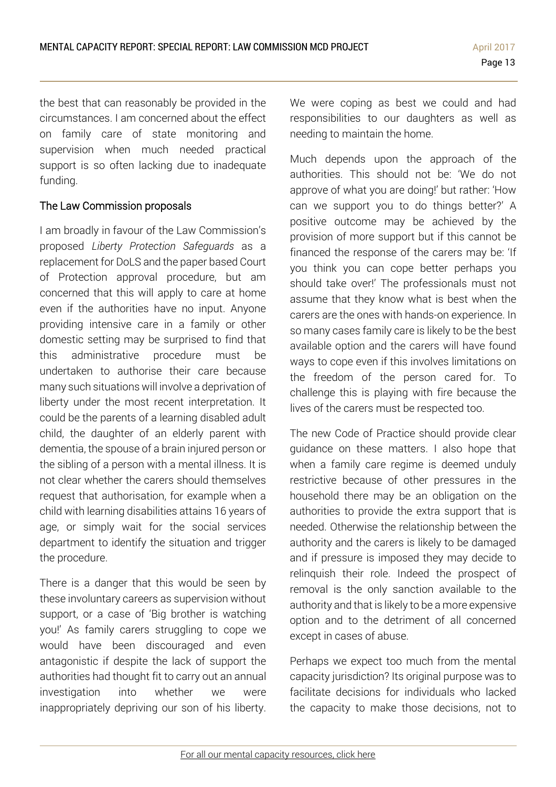the best that can reasonably be provided in the circumstances. I am concerned about the effect on family care of state monitoring and supervision when much needed practical support is so often lacking due to inadequate funding.

### The Law Commission proposals

I am broadly in favour of the Law Commission's proposed *Liberty Protection Safeguards* as a replacement for DoLS and the paper based Court of Protection approval procedure, but am concerned that this will apply to care at home even if the authorities have no input. Anyone providing intensive care in a family or other domestic setting may be surprised to find that this administrative procedure must be undertaken to authorise their care because many such situations will involve a deprivation of liberty under the most recent interpretation. It could be the parents of a learning disabled adult child, the daughter of an elderly parent with dementia, the spouse of a brain injured person or the sibling of a person with a mental illness. It is not clear whether the carers should themselves request that authorisation, for example when a child with learning disabilities attains 16 years of age, or simply wait for the social services department to identify the situation and trigger the procedure.

There is a danger that this would be seen by these involuntary careers as supervision without support, or a case of 'Big brother is watching you!' As family carers struggling to cope we would have been discouraged and even antagonistic if despite the lack of support the authorities had thought fit to carry out an annual investigation into whether we were inappropriately depriving our son of his liberty.

We were coping as best we could and had responsibilities to our daughters as well as needing to maintain the home.

Much depends upon the approach of the authorities. This should not be: 'We do not approve of what you are doing!' but rather: 'How can we support you to do things better?' A positive outcome may be achieved by the provision of more support but if this cannot be financed the response of the carers may be: 'If you think you can cope better perhaps you should take over!' The professionals must not assume that they know what is best when the carers are the ones with hands-on experience. In so many cases family care is likely to be the best available option and the carers will have found ways to cope even if this involves limitations on the freedom of the person cared for. To challenge this is playing with fire because the lives of the carers must be respected too.

The new Code of Practice should provide clear guidance on these matters. I also hope that when a family care regime is deemed unduly restrictive because of other pressures in the household there may be an obligation on the authorities to provide the extra support that is needed. Otherwise the relationship between the authority and the carers is likely to be damaged and if pressure is imposed they may decide to relinquish their role. Indeed the prospect of removal is the only sanction available to the authority and that is likely to be a more expensive option and to the detriment of all concerned except in cases of abuse.

Perhaps we expect too much from the mental capacity jurisdiction? Its original purpose was to facilitate decisions for individuals who lacked the capacity to make those decisions, not to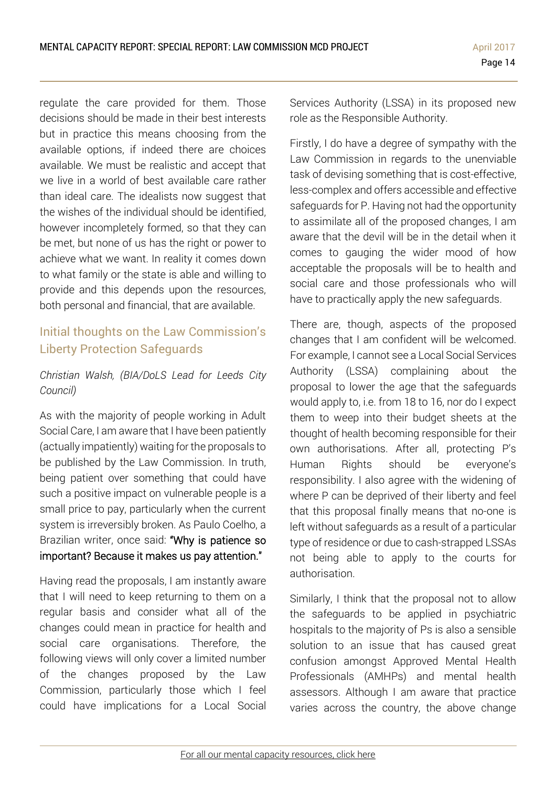regulate the care provided for them. Those decisions should be made in their best interests but in practice this means choosing from the available options, if indeed there are choices available. We must be realistic and accept that we live in a world of best available care rather than ideal care. The idealists now suggest that the wishes of the individual should be identified, however incompletely formed, so that they can be met, but none of us has the right or power to achieve what we want. In reality it comes down to what family or the state is able and willing to provide and this depends upon the resources, both personal and financial, that are available.

# <span id="page-13-0"></span>Initial thoughts on the Law Commission's Liberty Protection Safeguards

## *Christian Walsh, (BIA/DoLS Lead for Leeds City Council)*

As with the majority of people working in Adult Social Care, I am aware that I have been patiently (actually impatiently) waiting for the proposals to be published by the Law Commission. In truth, being patient over something that could have such a positive impact on vulnerable people is a small price to pay, particularly when the current system is irreversibly broken. As Paulo Coelho, a Brazilian writer, once said: "Why is patience so important? Because it makes us pay attention."

Having read the proposals, I am instantly aware that I will need to keep returning to them on a regular basis and consider what all of the changes could mean in practice for health and social care organisations. Therefore, the following views will only cover a limited number of the changes proposed by the Law Commission, particularly those which I feel could have implications for a Local Social

Services Authority (LSSA) in its proposed new role as the Responsible Authority.

Firstly, I do have a degree of sympathy with the Law Commission in regards to the unenviable task of devising something that is cost-effective, less-complex and offers accessible and effective safeguards for P. Having not had the opportunity to assimilate all of the proposed changes, I am aware that the devil will be in the detail when it comes to gauging the wider mood of how acceptable the proposals will be to health and social care and those professionals who will have to practically apply the new safeguards.

There are, though, aspects of the proposed changes that I am confident will be welcomed. For example, I cannot see a Local Social Services Authority (LSSA) complaining about the proposal to lower the age that the safeguards would apply to, i.e. from 18 to 16, nor do I expect them to weep into their budget sheets at the thought of health becoming responsible for their own authorisations. After all, protecting P's Human Rights should be everyone's responsibility. I also agree with the widening of where P can be deprived of their liberty and feel that this proposal finally means that no-one is left without safeguards as a result of a particular type of residence or due to cash-strapped LSSAs not being able to apply to the courts for authorisation.

Similarly, I think that the proposal not to allow the safeguards to be applied in psychiatric hospitals to the majority of Ps is also a sensible solution to an issue that has caused great confusion amongst Approved Mental Health Professionals (AMHPs) and mental health assessors. Although I am aware that practice varies across the country, the above change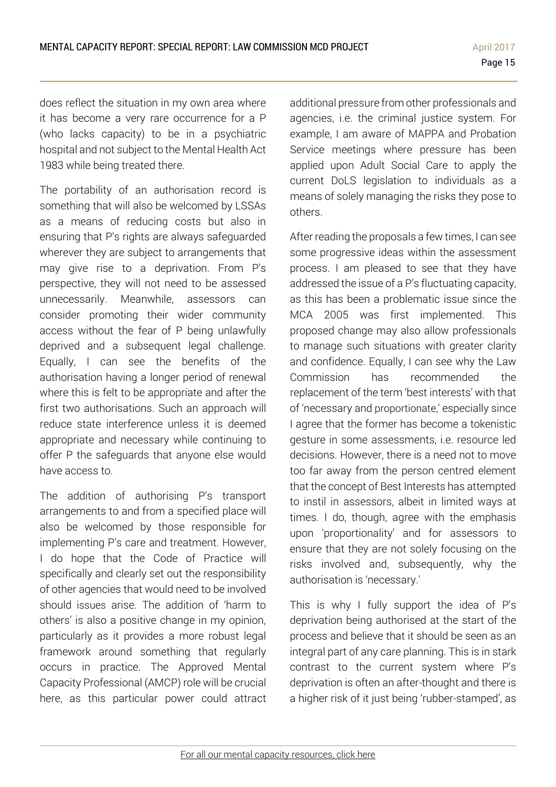does reflect the situation in my own area where it has become a very rare occurrence for a P (who lacks capacity) to be in a psychiatric hospital and not subject to the Mental Health Act 1983 while being treated there.

The portability of an authorisation record is something that will also be welcomed by LSSAs as a means of reducing costs but also in ensuring that P's rights are always safeguarded wherever they are subject to arrangements that may give rise to a deprivation. From P's perspective, they will not need to be assessed unnecessarily. Meanwhile, assessors can consider promoting their wider community access without the fear of P being unlawfully deprived and a subsequent legal challenge. Equally, I can see the benefits of the authorisation having a longer period of renewal where this is felt to be appropriate and after the first two authorisations. Such an approach will reduce state interference unless it is deemed appropriate and necessary while continuing to offer P the safeguards that anyone else would have access to.

The addition of authorising P's transport arrangements to and from a specified place will also be welcomed by those responsible for implementing P's care and treatment. However, I do hope that the Code of Practice will specifically and clearly set out the responsibility of other agencies that would need to be involved should issues arise. The addition of 'harm to others' is also a positive change in my opinion, particularly as it provides a more robust legal framework around something that regularly occurs in practice. The Approved Mental Capacity Professional (AMCP) role will be crucial here, as this particular power could attract

additional pressure from other professionals and agencies, i.e. the criminal justice system. For example, I am aware of MAPPA and Probation Service meetings where pressure has been applied upon Adult Social Care to apply the current DoLS legislation to individuals as a means of solely managing the risks they pose to others.

After reading the proposals a few times, I can see some progressive ideas within the assessment process. I am pleased to see that they have addressed the issue of a P's fluctuating capacity, as this has been a problematic issue since the MCA 2005 was first implemented. This proposed change may also allow professionals to manage such situations with greater clarity and confidence. Equally, I can see why the Law Commission has recommended the replacement of the term 'best interests' with that of 'necessary and proportionate,' especially since I agree that the former has become a tokenistic gesture in some assessments, i.e. resource led decisions. However, there is a need not to move too far away from the person centred element that the concept of Best Interests has attempted to instil in assessors, albeit in limited ways at times. I do, though, agree with the emphasis upon 'proportionality' and for assessors to ensure that they are not solely focusing on the risks involved and, subsequently, why the authorisation is 'necessary.'

This is why I fully support the idea of P's deprivation being authorised at the start of the process and believe that it should be seen as an integral part of any care planning. This is in stark contrast to the current system where P's deprivation is often an after-thought and there is a higher risk of it just being 'rubber-stamped', as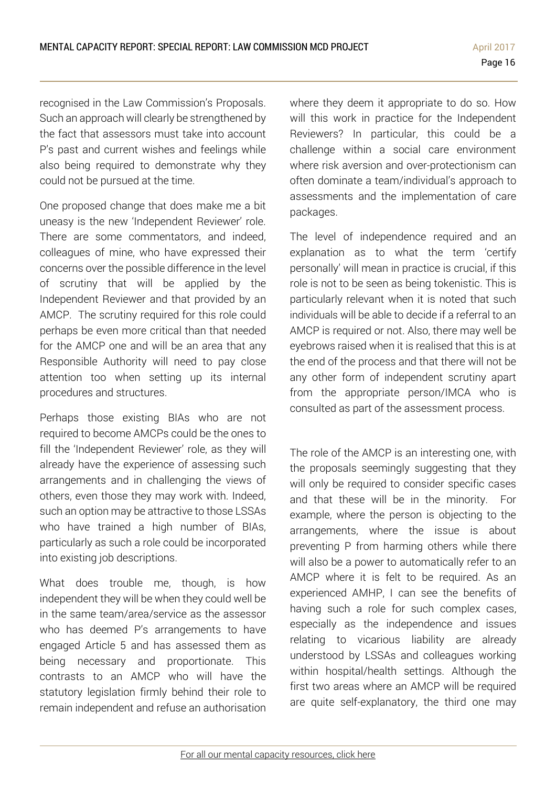recognised in the Law Commission's Proposals. Such an approach will clearly be strengthened by the fact that assessors must take into account P's past and current wishes and feelings while also being required to demonstrate why they could not be pursued at the time.

One proposed change that does make me a bit uneasy is the new 'Independent Reviewer' role. There are some commentators, and indeed, colleagues of mine, who have expressed their concerns over the possible difference in the level of scrutiny that will be applied by the Independent Reviewer and that provided by an AMCP. The scrutiny required for this role could perhaps be even more critical than that needed for the AMCP one and will be an area that any Responsible Authority will need to pay close attention too when setting up its internal procedures and structures.

Perhaps those existing BIAs who are not required to become AMCPs could be the ones to fill the 'Independent Reviewer' role, as they will already have the experience of assessing such arrangements and in challenging the views of others, even those they may work with. Indeed, such an option may be attractive to those LSSAs who have trained a high number of BIAs, particularly as such a role could be incorporated into existing job descriptions.

What does trouble me, though, is how independent they will be when they could well be in the same team/area/service as the assessor who has deemed P's arrangements to have engaged Article 5 and has assessed them as being necessary and proportionate. This contrasts to an AMCP who will have the statutory legislation firmly behind their role to remain independent and refuse an authorisation where they deem it appropriate to do so. How will this work in practice for the Independent Reviewers? In particular, this could be a challenge within a social care environment where risk aversion and over-protectionism can often dominate a team/individual's approach to assessments and the implementation of care packages.

The level of independence required and an explanation as to what the term 'certify personally' will mean in practice is crucial, if this role is not to be seen as being tokenistic. This is particularly relevant when it is noted that such individuals will be able to decide if a referral to an AMCP is required or not. Also, there may well be eyebrows raised when it is realised that this is at the end of the process and that there will not be any other form of independent scrutiny apart from the appropriate person/IMCA who is consulted as part of the assessment process.

The role of the AMCP is an interesting one, with the proposals seemingly suggesting that they will only be required to consider specific cases and that these will be in the minority. For example, where the person is objecting to the arrangements, where the issue is about preventing P from harming others while there will also be a power to automatically refer to an AMCP where it is felt to be required. As an experienced AMHP, I can see the benefits of having such a role for such complex cases, especially as the independence and issues relating to vicarious liability are already understood by LSSAs and colleagues working within hospital/health settings. Although the first two areas where an AMCP will be required are quite self-explanatory, the third one may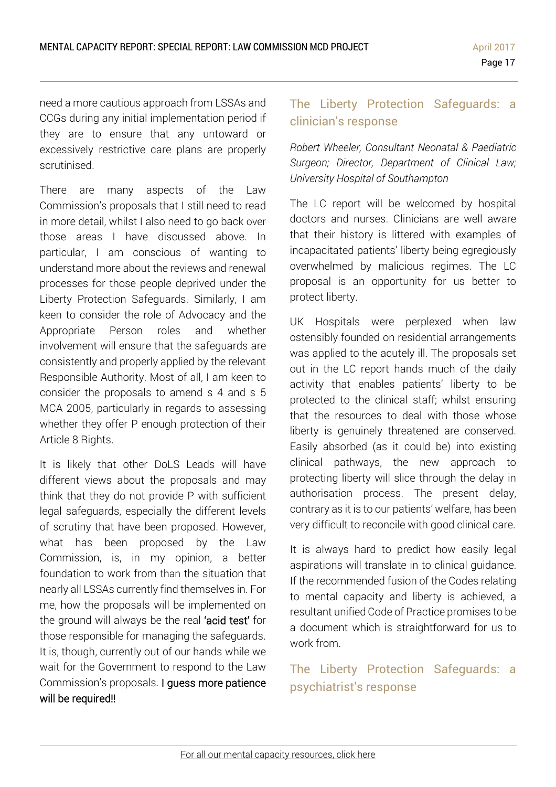need a more cautious approach from LSSAs and CCGs during any initial implementation period if they are to ensure that any untoward or excessively restrictive care plans are properly scrutinised.

There are many aspects of the Law Commission's proposals that I still need to read in more detail, whilst I also need to go back over those areas I have discussed above. In particular, I am conscious of wanting to understand more about the reviews and renewal processes for those people deprived under the Liberty Protection Safeguards. Similarly, I am keen to consider the role of Advocacy and the Appropriate Person roles and whether involvement will ensure that the safeguards are consistently and properly applied by the relevant Responsible Authority. Most of all, I am keen to consider the proposals to amend s 4 and s 5 MCA 2005, particularly in regards to assessing whether they offer P enough protection of their Article 8 Rights.

It is likely that other DoLS Leads will have different views about the proposals and may think that they do not provide P with sufficient legal safeguards, especially the different levels of scrutiny that have been proposed. However, what has been proposed by the Law Commission, is, in my opinion, a better foundation to work from than the situation that nearly all LSSAs currently find themselves in. For me, how the proposals will be implemented on the ground will always be the real 'acid test' for those responsible for managing the safeguards. It is, though, currently out of our hands while we wait for the Government to respond to the Law Commission's proposals. I guess more patience will be required!!

# <span id="page-16-0"></span>The Liberty Protection Safeguards: a clinician's response

*Robert Wheeler, Consultant Neonatal & Paediatric Surgeon; Director, Department of Clinical Law; University Hospital of Southampton*

The LC report will be welcomed by hospital doctors and nurses. Clinicians are well aware that their history is littered with examples of incapacitated patients' liberty being egregiously overwhelmed by malicious regimes. The LC proposal is an opportunity for us better to protect liberty.

UK Hospitals were perplexed when law ostensibly founded on residential arrangements was applied to the acutely ill. The proposals set out in the LC report hands much of the daily activity that enables patients' liberty to be protected to the clinical staff; whilst ensuring that the resources to deal with those whose liberty is genuinely threatened are conserved. Easily absorbed (as it could be) into existing clinical pathways, the new approach to protecting liberty will slice through the delay in authorisation process. The present delay, contrary as it is to our patients' welfare, has been very difficult to reconcile with good clinical care.

It is always hard to predict how easily legal aspirations will translate in to clinical guidance. If the recommended fusion of the Codes relating to mental capacity and liberty is achieved, a resultant unified Code of Practice promises to be a document which is straightforward for us to work from.

<span id="page-16-1"></span>The Liberty Protection Safeguards: a psychiatrist's response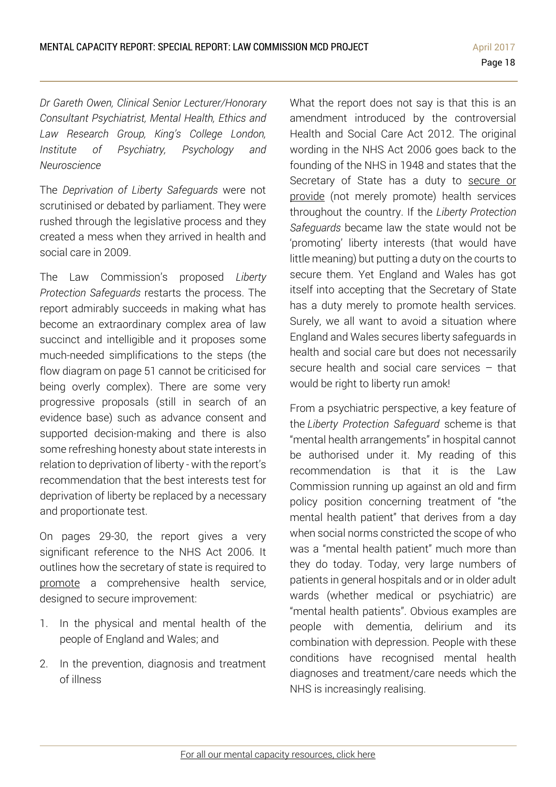*Dr Gareth Owen, Clinical Senior Lecturer/Honorary Consultant Psychiatrist, Mental Health, Ethics and Law Research Group, King's College London, Institute of Psychiatry, Psychology and Neuroscience*

The *Deprivation of Liberty Safeguards* were not scrutinised or debated by parliament. They were rushed through the legislative process and they created a mess when they arrived in health and social care in 2009.

The Law Commission's proposed *Liberty Protection Safeguards* restarts the process. The report admirably succeeds in making what has become an extraordinary complex area of law succinct and intelligible and it proposes some much-needed simplifications to the steps (the flow diagram on page 51 cannot be criticised for being overly complex). There are some very progressive proposals (still in search of an evidence base) such as advance consent and supported decision-making and there is also some refreshing honesty about state interests in relation to deprivation of liberty - with the report's recommendation that the best interests test for deprivation of liberty be replaced by a necessary and proportionate test.

On pages 29-30, the report gives a very significant reference to the NHS Act 2006. It outlines how the secretary of state is required to promote a comprehensive health service, designed to secure improvement:

- 1. In the physical and mental health of the people of England and Wales; and
- 2. In the prevention, diagnosis and treatment of illness

What the report does not say is that this is an amendment introduced by the controversial Health and Social Care Act 2012. The original wording in the NHS Act 2006 goes back to the founding of the NHS in 1948 and states that the Secretary of State has a duty to secure or provide (not merely promote) health services throughout the country. If the *Liberty Protection Safeguards* became law the state would not be 'promoting' liberty interests (that would have little meaning) but putting a duty on the courts to secure them. Yet England and Wales has got itself into accepting that the Secretary of State has a duty merely to promote health services. Surely, we all want to avoid a situation where England and Wales secures liberty safeguards in health and social care but does not necessarily secure health and social care services – that would be right to liberty run amok!

From a psychiatric perspective, a key feature of the *Liberty Protection Safeguard* scheme is that "mental health arrangements" in hospital cannot be authorised under it. My reading of this recommendation is that it is the Law Commission running up against an old and firm policy position concerning treatment of "the mental health patient" that derives from a day when social norms constricted the scope of who was a "mental health patient" much more than they do today. Today, very large numbers of patients in general hospitals and or in older adult wards (whether medical or psychiatric) are "mental health patients". Obvious examples are people with dementia, delirium and its combination with depression. People with these conditions have recognised mental health diagnoses and treatment/care needs which the NHS is increasingly realising.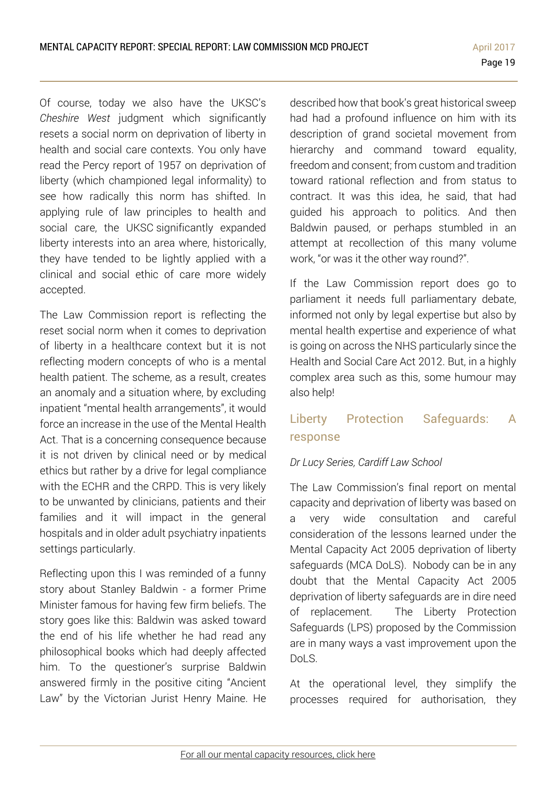Of course, today we also have the UKSC's *Cheshire West* judgment which significantly resets a social norm on deprivation of liberty in health and social care contexts. You only have read the Percy report of 1957 on deprivation of liberty (which championed legal informality) to see how radically this norm has shifted. In applying rule of law principles to health and social care, the UKSC significantly expanded liberty interests into an area where, historically, they have tended to be lightly applied with a clinical and social ethic of care more widely accepted.

The Law Commission report is reflecting the reset social norm when it comes to deprivation of liberty in a healthcare context but it is not reflecting modern concepts of who is a mental health patient. The scheme, as a result, creates an anomaly and a situation where, by excluding inpatient "mental health arrangements", it would force an increase in the use of the Mental Health Act. That is a concerning consequence because it is not driven by clinical need or by medical ethics but rather by a drive for legal compliance with the ECHR and the CRPD. This is very likely to be unwanted by clinicians, patients and their families and it will impact in the general hospitals and in older adult psychiatry inpatients settings particularly.

Reflecting upon this I was reminded of a funny story about Stanley Baldwin - a former Prime Minister famous for having few firm beliefs. The story goes like this: Baldwin was asked toward the end of his life whether he had read any philosophical books which had deeply affected him. To the questioner's surprise Baldwin answered firmly in the positive citing "Ancient Law" by the Victorian Jurist Henry Maine. He

described how that book's great historical sweep had had a profound influence on him with its description of grand societal movement from hierarchy and command toward equality, freedom and consent; from custom and tradition toward rational reflection and from status to contract. It was this idea, he said, that had guided his approach to politics. And then Baldwin paused, or perhaps stumbled in an attempt at recollection of this many volume work, "or was it the other way round?".

If the Law Commission report does go to parliament it needs full parliamentary debate, informed not only by legal expertise but also by mental health expertise and experience of what is going on across the NHS particularly since the Health and Social Care Act 2012. But, in a highly complex area such as this, some humour may also help!

# <span id="page-18-0"></span>Liberty Protection Safeguards: A response

## *Dr Lucy Series, Cardiff Law School*

The Law Commission's final report on mental capacity and deprivation of liberty was based on a very wide consultation and careful consideration of the lessons learned under the Mental Capacity Act 2005 deprivation of liberty safeguards (MCA DoLS). Nobody can be in any doubt that the Mental Capacity Act 2005 deprivation of liberty safeguards are in dire need of replacement. The Liberty Protection Safeguards (LPS) proposed by the Commission are in many ways a vast improvement upon the DoLS.

At the operational level, they simplify the processes required for authorisation, they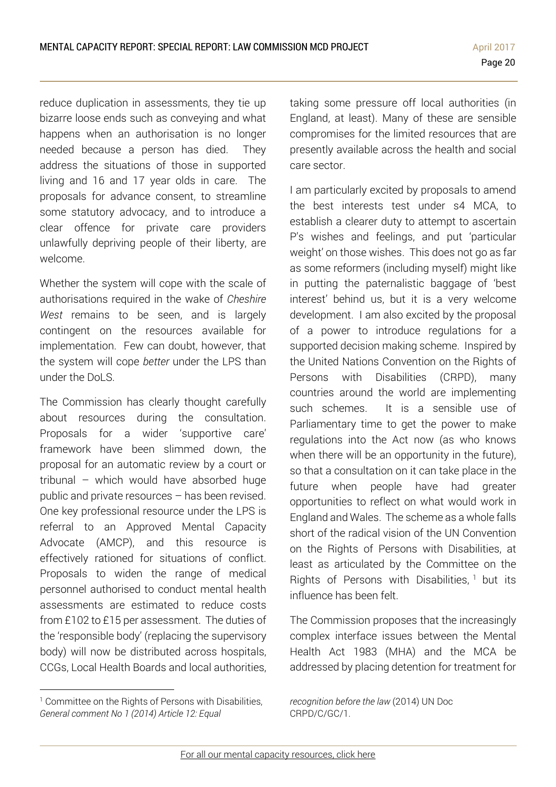reduce duplication in assessments, they tie up bizarre loose ends such as conveying and what happens when an authorisation is no longer needed because a person has died. They address the situations of those in supported living and 16 and 17 year olds in care. The proposals for advance consent, to streamline some statutory advocacy, and to introduce a clear offence for private care providers unlawfully depriving people of their liberty, are welcome.

Whether the system will cope with the scale of authorisations required in the wake of *Cheshire West* remains to be seen, and is largely contingent on the resources available for implementation. Few can doubt, however, that the system will cope *better* under the LPS than under the DoLS.

The Commission has clearly thought carefully about resources during the consultation. Proposals for a wider 'supportive care' framework have been slimmed down, the proposal for an automatic review by a court or tribunal – which would have absorbed huge public and private resources – has been revised. One key professional resource under the LPS is referral to an Approved Mental Capacity Advocate (AMCP), and this resource is effectively rationed for situations of conflict. Proposals to widen the range of medical personnel authorised to conduct mental health assessments are estimated to reduce costs from £102 to £15 per assessment. The duties of the 'responsible body' (replacing the supervisory body) will now be distributed across hospitals, CCGs, Local Health Boards and local authorities,

<span id="page-19-0"></span><sup>1</sup> Committee on the Rights of Persons with Disabilities, *General comment No 1 (2014) Article 12: Equal*

 $\overline{a}$ 

taking some pressure off local authorities (in England, at least). Many of these are sensible compromises for the limited resources that are presently available across the health and social care sector.

I am particularly excited by proposals to amend the best interests test under s4 MCA, to establish a clearer duty to attempt to ascertain P's wishes and feelings, and put 'particular weight' on those wishes. This does not go as far as some reformers (including myself) might like in putting the paternalistic baggage of 'best interest' behind us, but it is a very welcome development. I am also excited by the proposal of a power to introduce regulations for a supported decision making scheme. Inspired by the United Nations Convention on the Rights of Persons with Disabilities (CRPD), many countries around the world are implementing such schemes. It is a sensible use of Parliamentary time to get the power to make regulations into the Act now (as who knows when there will be an opportunity in the future), so that a consultation on it can take place in the future when people have had greater opportunities to reflect on what would work in England and Wales. The scheme as a whole falls short of the radical vision of the UN Convention on the Rights of Persons with Disabilities, at least as articulated by the Committee on the Rights of Persons with Disabilities,  $1$  but its influence has been felt.

The Commission proposes that the increasingly complex interface issues between the Mental Health Act 1983 (MHA) and the MCA be addressed by placing detention for treatment for

*recognition before the law* (2014) UN Doc CRPD/C/GC/1.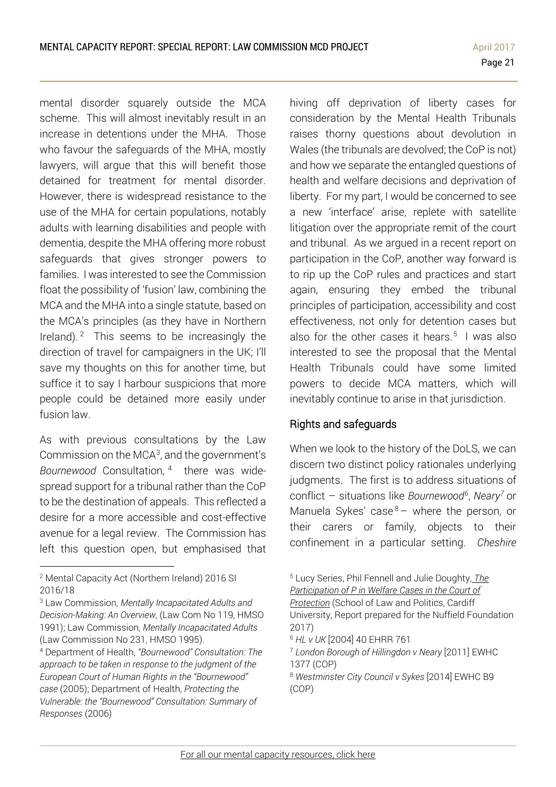mental disorder squarely outside the MCA scheme. This will almost inevitably result in an increase in detentions under the MHA. Those who favour the safeguards of the MHA, mostly lawyers, will argue that this will benefit those detained for treatment for mental disorder. However, there is widespread resistance to the use of the MHA for certain populations, notably adults with learning disabilities and people with dementia, despite the MHA offering more robust safeguards that gives stronger powers to families. I was interested to see the Commission float the possibility of 'fusion' law, combining the MCA and the MHA into a single statute, based on the MCA's principles (as they have in Northern Ireland). <sup>[2](#page-20-0)</sup> This seems to be increasingly the direction of travel for campaigners in the UK; I'll save my thoughts on this for another time, but suffice it to say I harbour suspicions that more people could be detained more easily under fusion law.

As with previous consultations by the Law Commission on the MCA[3,](#page-20-1) and the government's *Bournewood* Consultation, [4](#page-20-2) there was widespread support for a tribunal rather than the CoP to be the destination of appeals. This reflected a desire for a more accessible and cost-effective avenue for a legal review. The Commission has left this question open, but emphasised that

 $\overline{a}$ 

hiving off deprivation of liberty cases for consideration by the Mental Health Tribunals raises thorny questions about devolution in Wales (the tribunals are devolved; the CoP is not) and how we separate the entangled questions of health and welfare decisions and deprivation of liberty. For my part, I would be concerned to see a new 'interface' arise, replete with satellite litigation over the appropriate remit of the court and tribunal. As we argued in a recent report on participation in the CoP, another way forward is to rip up the CoP rules and practices and start again, ensuring they embed the tribunal principles of participation, accessibility and cost effectiveness, not only for detention cases but also for the other cases it hears.<sup>[5](#page-20-0)</sup> I was also interested to see the proposal that the Mental Health Tribunals could have some limited powers to decide MCA matters, which will inevitably continue to arise in that jurisdiction.

## <span id="page-20-5"></span>Rights and safeguards

When we look to the history of the DoLS, we can discern two distinct policy rationales underlying judgments. The first is to address situations of conflict – situations like *Bournewood[6](#page-20-3)*, *Near[y7](#page-20-2)* or Manuela Sykes' case  $8 8-$  where the person, or their carers or family, objects to their confinement in a particular setting. *Cheshire*

<sup>5</sup> Lucy Series, Phil Fennell and Julie Doughty, *[The](http://sites.cardiff.ac.uk/wccop/new-research-report-the-participation-of-p-in-welfare-cases-in-the-court-of-protection/) [Participation](http://sites.cardiff.ac.uk/wccop/new-research-report-the-participation-of-p-in-welfare-cases-in-the-court-of-protection/) of P in Welfare Cases in the Court of*

*[Protection](http://sites.cardiff.ac.uk/wccop/new-research-report-the-participation-of-p-in-welfare-cases-in-the-court-of-protection/)* (School of Law and Politics, Cardiff University, Report prepared for the Nuffield Foundation 2017)

- <sup>6</sup> *HL v UK* [2004] 40 EHRR 761
- <sup>7</sup> *London Borough of Hillingdon v Neary* [2011] EWHC 1377 (COP)
- <sup>8</sup> *Westminster City Council v Sykes* [2014] EWHC B9 (COP)

<span id="page-20-0"></span><sup>2</sup> Mental Capacity Act (Northern Ireland) 2016 SI 2016/18

<span id="page-20-1"></span><sup>3</sup> Law Commission, *Mentally Incapacitated Adults and Decision-Making: An Overview*, (Law Com No 119, HMSO 1991); Law Commission, *Mentally Incapacitated Adults* (Law Commission No 231, HMSO 1995).

<span id="page-20-4"></span><span id="page-20-3"></span><span id="page-20-2"></span><sup>4</sup> Department of Health, *"Bournewood" Consultation: The approach to be taken in response to the judgment of the European Court of Human Rights in the "Bournewood" case* (2005); Department of Health, *Protecting the Vulnerable: the "Bournewood" Consultation: Summary of Responses* (2006)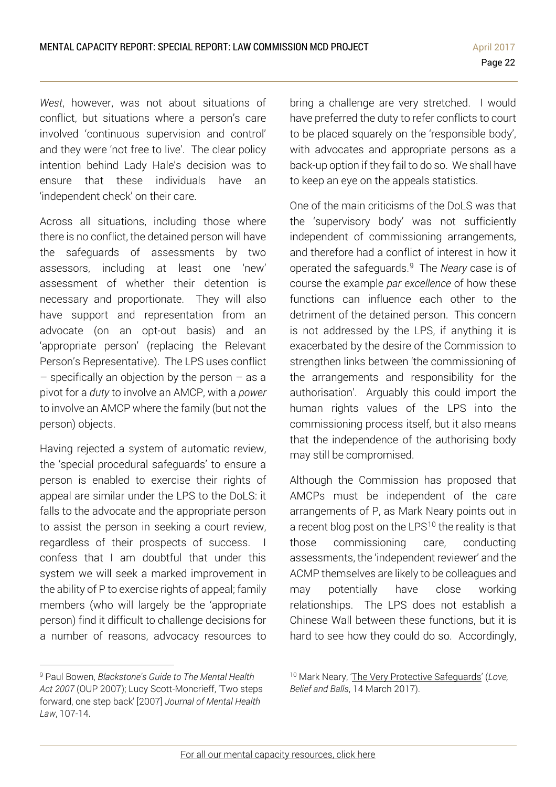*West*, however, was not about situations of conflict, but situations where a person's care involved 'continuous supervision and control' and they were 'not free to live'. The clear policy intention behind Lady Hale's decision was to ensure that these individuals have an 'independent check' on their care.

Across all situations, including those where there is no conflict, the detained person will have the safeguards of assessments by two assessors, including at least one 'new' assessment of whether their detention is necessary and proportionate. They will also have support and representation from an advocate (on an opt-out basis) and an 'appropriate person' (replacing the Relevant Person's Representative). The LPS uses conflict  $-$  specifically an objection by the person  $-$  as a pivot for a *duty* to involve an AMCP, with a *power* to involve an AMCP where the family (but not the person) objects.

Having rejected a system of automatic review, the 'special procedural safeguards' to ensure a person is enabled to exercise their rights of appeal are similar under the LPS to the DoLS: it falls to the advocate and the appropriate person to assist the person in seeking a court review, regardless of their prospects of success. I confess that I am doubtful that under this system we will seek a marked improvement in the ability of P to exercise rights of appeal; family members (who will largely be the 'appropriate person) find it difficult to challenge decisions for a number of reasons, advocacy resources to

bring a challenge are very stretched. I would have preferred the duty to refer conflicts to court to be placed squarely on the 'responsible body', with advocates and appropriate persons as a back-up option if they fail to do so. We shall have to keep an eye on the appeals statistics.

One of the main criticisms of the DoLS was that the 'supervisory body' was not sufficiently independent of commissioning arrangements, and therefore had a conflict of interest in how it operated the safeguards.[9](#page-21-0) The *Neary* case is of course the example *par excellence* of how these functions can influence each other to the detriment of the detained person. This concern is not addressed by the LPS, if anything it is exacerbated by the desire of the Commission to strengthen links between 'the commissioning of the arrangements and responsibility for the authorisation'. Arguably this could import the human rights values of the LPS into the commissioning process itself, but it also means that the independence of the authorising body may still be compromised.

Although the Commission has proposed that AMCPs must be independent of the care arrangements of P, as Mark Neary points out in a recent blog post on the  $LPS^{10}$  $LPS^{10}$  $LPS^{10}$  the reality is that those commissioning care, conducting assessments, the 'independent reviewer' and the ACMP themselves are likely to be colleagues and may potentially have close working relationships. The LPS does not establish a Chinese Wall between these functions, but it is hard to see how they could do so. Accordingly,

<span id="page-21-0"></span><sup>9</sup> Paul Bowen, *Blackstone's Guide to The Mental Health Act 2007* (OUP 2007); Lucy Scott-Moncrieff, 'Two steps forward, one step back' [2007] *Journal of Mental Health Law*, 107-14. l

<sup>10</sup> Mark Neary, 'The Very Protective [Safeguards'](https://markneary1dotcom1.wordpress.com/2017/03/14/the-very-protective-safeguards/) (*Love, Belief and Balls*, 14 March 2017).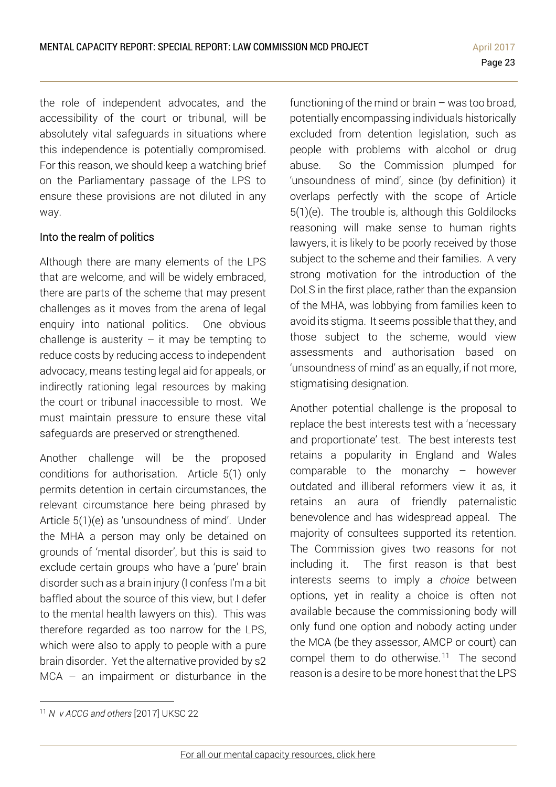the role of independent advocates, and the accessibility of the court or tribunal, will be absolutely vital safeguards in situations where this independence is potentially compromised. For this reason, we should keep a watching brief on the Parliamentary passage of the LPS to ensure these provisions are not diluted in any way.

### Into the realm of politics

Although there are many elements of the LPS that are welcome, and will be widely embraced, there are parts of the scheme that may present challenges as it moves from the arena of legal enquiry into national politics. One obvious challenge is austerity  $-$  it may be tempting to reduce costs by reducing access to independent advocacy, means testing legal aid for appeals, or indirectly rationing legal resources by making the court or tribunal inaccessible to most. We must maintain pressure to ensure these vital safeguards are preserved or strengthened.

Another challenge will be the proposed conditions for authorisation. Article 5(1) only permits detention in certain circumstances, the relevant circumstance here being phrased by Article 5(1)(e) as 'unsoundness of mind'. Under the MHA a person may only be detained on grounds of 'mental disorder', but this is said to exclude certain groups who have a 'pure' brain disorder such as a brain injury (I confess I'm a bit baffled about the source of this view, but I defer to the mental health lawyers on this). This was therefore regarded as too narrow for the LPS, which were also to apply to people with a pure brain disorder. Yet the alternative provided by s2 MCA – an impairment or disturbance in the functioning of the mind or brain  $-$  was too broad, potentially encompassing individuals historically excluded from detention legislation, such as people with problems with alcohol or drug abuse. So the Commission plumped for 'unsoundness of mind', since (by definition) it overlaps perfectly with the scope of Article 5(1)(e). The trouble is, although this Goldilocks reasoning will make sense to human rights lawyers, it is likely to be poorly received by those subject to the scheme and their families. A very strong motivation for the introduction of the DoLS in the first place, rather than the expansion of the MHA, was lobbying from families keen to avoid its stigma. It seems possible that they, and those subject to the scheme, would view assessments and authorisation based on 'unsoundness of mind' as an equally, if not more, stigmatising designation.

Another potential challenge is the proposal to replace the best interests test with a 'necessary and proportionate' test. The best interests test retains a popularity in England and Wales comparable to the monarchy – however outdated and illiberal reformers view it as, it retains an aura of friendly paternalistic benevolence and has widespread appeal. The majority of consultees supported its retention. The Commission gives two reasons for not including it. The first reason is that best interests seems to imply a *choice* between options, yet in reality a choice is often not available because the commissioning body will only fund one option and nobody acting under the MCA (be they assessor, AMCP or court) can compel them to do otherwise.<sup>[11](#page-22-0)</sup> The second reason is a desire to be more honest that the LPS

<span id="page-22-0"></span><sup>11</sup> *N v ACCG and others* [2017] UKSC 22  $\overline{a}$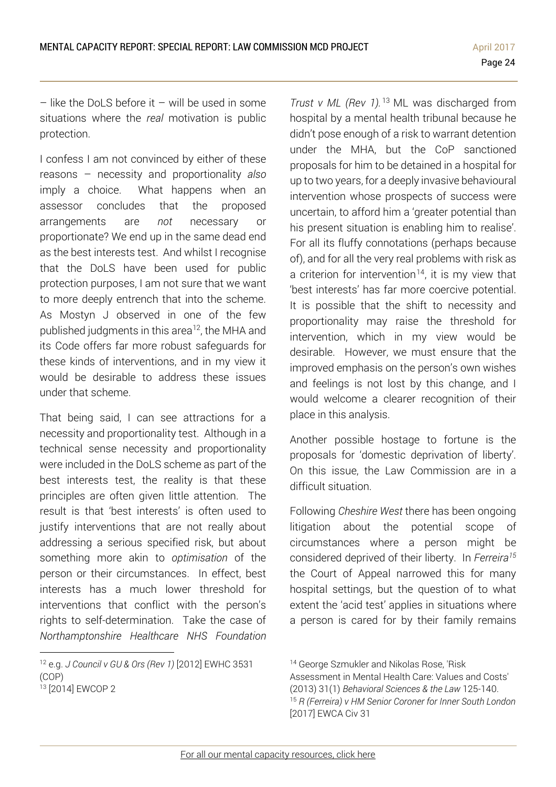$-$  like the DoLS before it  $-$  will be used in some situations where the *real* motivation is public protection.

I confess I am not convinced by either of these reasons – necessity and proportionality *also* imply a choice. What happens when an assessor concludes that the proposed arrangements are *not* necessary or proportionate? We end up in the same dead end as the best interests test. And whilst I recognise that the DoLS have been used for public protection purposes, I am not sure that we want to more deeply entrench that into the scheme. As Mostyn J observed in one of the few published judgments in this area<sup>12</sup>, the MHA and its Code offers far more robust safeguards for these kinds of interventions, and in my view it would be desirable to address these issues under that scheme.

That being said, I can see attractions for a necessity and proportionality test. Although in a technical sense necessity and proportionality were included in the DoLS scheme as part of the best interests test, the reality is that these principles are often given little attention. The result is that 'best interests' is often used to justify interventions that are not really about addressing a serious specified risk, but about something more akin to *optimisation* of the person or their circumstances. In effect, best interests has a much lower threshold for interventions that conflict with the person's rights to self-determination. Take the case of *Northamptonshire Healthcare NHS Foundation*

 $\overline{a}$ 

*Trust v ML (Rev 1).* [13](#page-23-1) ML was discharged from hospital by a mental health tribunal because he didn't pose enough of a risk to warrant detention under the MHA, but the CoP sanctioned proposals for him to be detained in a hospital for up to two years, for a deeply invasive behavioural intervention whose prospects of success were uncertain, to afford him a 'greater potential than his present situation is enabling him to realise'. For all its fluffy connotations (perhaps because of), and for all the very real problems with risk as a criterion for intervention<sup>[14](#page-23-0)</sup>, it is my view that 'best interests' has far more coercive potential. It is possible that the shift to necessity and proportionality may raise the threshold for intervention, which in my view would be desirable. However, we must ensure that the improved emphasis on the person's own wishes and feelings is not lost by this change, and I would welcome a clearer recognition of their place in this analysis.

Another possible hostage to fortune is the proposals for 'domestic deprivation of liberty'. On this issue, the Law Commission are in a difficult situation.

Following *Cheshire West* there has been ongoing litigation about the potential scope of circumstances where a person might be considered deprived of their liberty. In *Ferreira[15](#page-23-2)* the Court of Appeal narrowed this for many hospital settings, but the question of to what extent the 'acid test' applies in situations where a person is cared for by their family remains

<span id="page-23-2"></span><span id="page-23-1"></span><span id="page-23-0"></span><sup>12</sup> e.g. *J Council v GU & Ors (Rev 1)* [2012] EWHC 3531 (COP) <sup>13</sup> [2014] EWCOP 2

<sup>&</sup>lt;sup>14</sup> George Szmukler and Nikolas Rose, 'Risk Assessment in Mental Health Care: Values and Costs' (2013) 31(1) *Behavioral Sciences & the Law* 125-140. <sup>15</sup> *R (Ferreira) v HM Senior Coroner for Inner South London* [2017] EWCA Civ 31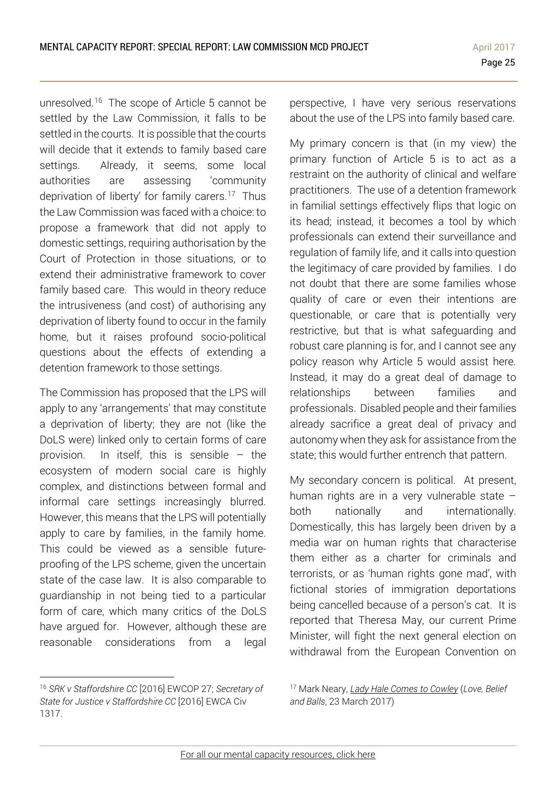unresolved.<sup>16</sup> The scope of Article 5 cannot be settled by the Law Commission, it falls to be settled in the courts. It is possible that the courts will decide that it extends to family based care settings. Already, it seems, some local authorities are assessing 'community deprivation of liberty' for family carers.<sup>[17](#page-24-0)</sup> Thus the Law Commission was faced with a choice: to propose a framework that did not apply to domestic settings, requiring authorisation by the Court of Protection in those situations, or to extend their administrative framework to cover family based care. This would in theory reduce the intrusiveness (and cost) of authorising any deprivation of liberty found to occur in the family home, but it raises profound socio-political questions about the effects of extending a detention framework to those settings.

The Commission has proposed that the LPS will apply to any 'arrangements' that may constitute a deprivation of liberty; they are not (like the DoLS were) linked only to certain forms of care provision. In itself, this is sensible – the ecosystem of modern social care is highly complex, and distinctions between formal and informal care settings increasingly blurred. However, this means that the LPS will potentially apply to care by families, in the family home. This could be viewed as a sensible futureproofing of the LPS scheme, given the uncertain state of the case law. It is also comparable to guardianship in not being tied to a particular form of care, which many critics of the DoLS have argued for. However, although these are reasonable considerations from a legal perspective, I have very serious reservations about the use of the LPS into family based care.

My primary concern is that (in my view) the primary function of Article 5 is to act as a restraint on the authority of clinical and welfare practitioners. The use of a detention framework in familial settings effectively flips that logic on its head; instead, it becomes a tool by which professionals can extend their surveillance and regulation of family life, and it calls into question the legitimacy of care provided by families. I do not doubt that there are some families whose quality of care or even their intentions are questionable, or care that is potentially very restrictive, but that is what safeguarding and robust care planning is for, and I cannot see any policy reason why Article 5 would assist here. Instead, it may do a great deal of damage to relationships between families and professionals. Disabled people and their families already sacrifice a great deal of privacy and autonomy when they ask for assistance from the state; this would further entrench that pattern.

My secondary concern is political. At present, human rights are in a very vulnerable state – both nationally and internationally. Domestically, this has largely been driven by a media war on human rights that characterise them either as a charter for criminals and terrorists, or as 'human rights gone mad', with fictional stories of immigration deportations being cancelled because of a person's cat. It is reported that Theresa May, our current Prime Minister, will fight the next general election on withdrawal from the European Convention on

 $\overline{a}$ 

<span id="page-24-0"></span><sup>16</sup> *SRK v Staffordshire CC* [2016] EWCOP 27; *Secretary of State for Justice v Staffordshire CC* [2016] EWCA Civ 1317.

<sup>17</sup> Mark Neary, *Lady Hale Comes to [Cowley](https://markneary1dotcom1.wordpress.com/2017/03/23/lady-hale-comes-to-cowley/)* (*Love, Belief and Balls*, 23 March 2017)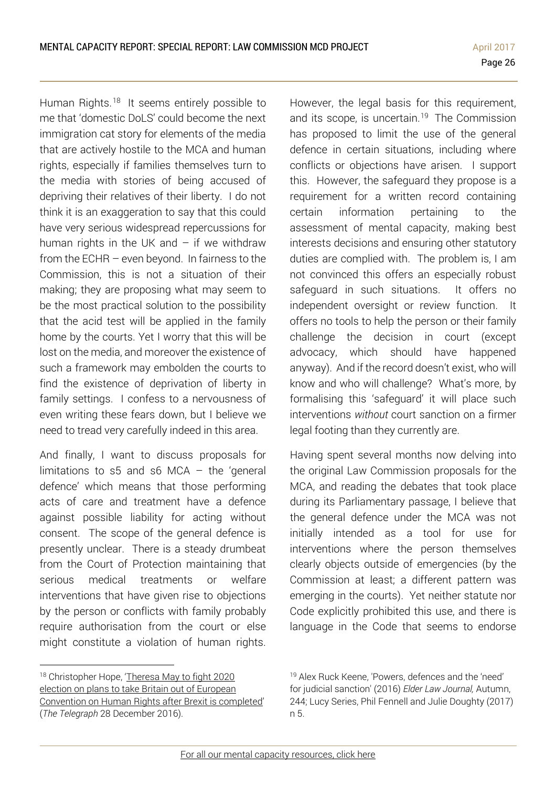Human Rights.<sup>[18](#page-25-0)</sup> It seems entirely possible to me that 'domestic DoLS' could become the next immigration cat story for elements of the media that are actively hostile to the MCA and human rights, especially if families themselves turn to the media with stories of being accused of depriving their relatives of their liberty. I do not think it is an exaggeration to say that this could have very serious widespread repercussions for human rights in the UK and  $-$  if we withdraw from the ECHR – even beyond. In fairness to the Commission, this is not a situation of their making; they are proposing what may seem to be the most practical solution to the possibility that the acid test will be applied in the family home by the courts. Yet I worry that this will be lost on the media, and moreover the existence of such a framework may embolden the courts to find the existence of deprivation of liberty in family settings. I confess to a nervousness of even writing these fears down, but I believe we need to tread very carefully indeed in this area.

And finally, I want to discuss proposals for limitations to s5 and s6 MCA – the 'general defence' which means that those performing acts of care and treatment have a defence against possible liability for acting without consent. The scope of the general defence is presently unclear. There is a steady drumbeat from the Court of Protection maintaining that serious medical treatments or welfare interventions that have given rise to objections by the person or conflicts with family probably require authorisation from the court or else might constitute a violation of human rights.

However, the legal basis for this requirement, and its scope, is uncertain.<sup>19</sup> The Commission has proposed to limit the use of the general defence in certain situations, including where conflicts or objections have arisen. I support this. However, the safeguard they propose is a requirement for a written record containing certain information pertaining to the assessment of mental capacity, making best interests decisions and ensuring other statutory duties are complied with. The problem is, I am not convinced this offers an especially robust safeguard in such situations. It offers no independent oversight or review function. It offers no tools to help the person or their family challenge the decision in court (except advocacy, which should have happened anyway). And if the record doesn't exist, who will know and who will challenge? What's more, by formalising this 'safeguard' it will place such interventions *without* court sanction on a firmer legal footing than they currently are.

Having spent several months now delving into the original Law Commission proposals for the MCA, and reading the debates that took place during its Parliamentary passage, I believe that the general defence under the MCA was not initially intended as a tool for use for interventions where the person themselves clearly objects outside of emergencies (by the Commission at least; a different pattern was emerging in the courts). Yet neither statute nor Code explicitly prohibited this use, and there is language in the Code that seems to endorse

<span id="page-25-0"></span><sup>18</sup> Christopher Hope, ['Theresa](http://www.telegraph.co.uk/news/2016/12/28/theresa-may-fight-2020-election-plans-take-britain-european/) May to fight 2020 election on plans to take Britain out of [European](http://www.telegraph.co.uk/news/2016/12/28/theresa-may-fight-2020-election-plans-take-britain-european/) [Convention](http://www.telegraph.co.uk/news/2016/12/28/theresa-may-fight-2020-election-plans-take-britain-european/) on Human Rights after Brexit is completed' (*The Telegraph* 28 December 2016). l

<sup>19</sup> Alex Ruck Keene, 'Powers, defences and the 'need' for judicial sanction' (2016) *Elder Law Journal,* Autumn, 244; Lucy Series, Phil Fennell and Julie Doughty (2017) n [5.](#page-20-5)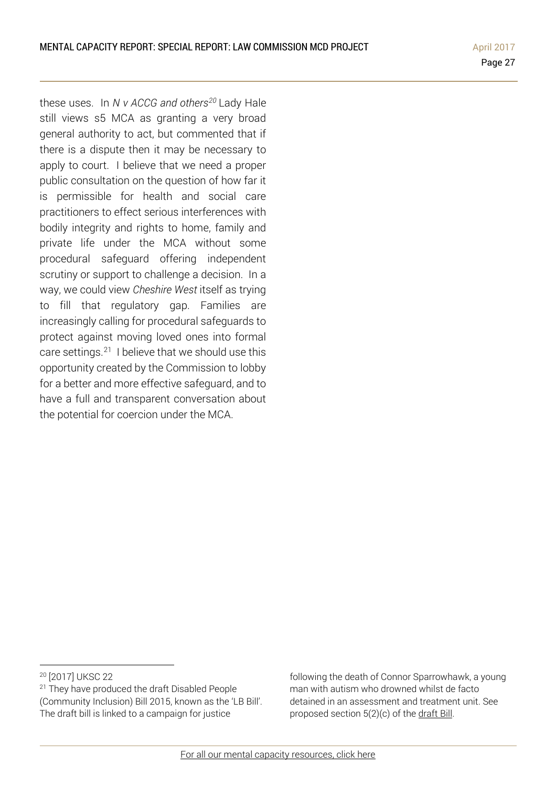these uses. In *N v ACCG and others[20](#page-26-0)* Lady Hale still views s5 MCA as granting a very broad general authority to act, but commented that if there is a dispute then it may be necessary to apply to court. I believe that we need a proper public consultation on the question of how far it is permissible for health and social care practitioners to effect serious interferences with bodily integrity and rights to home, family and private life under the MCA without some procedural safeguard offering independent scrutiny or support to challenge a decision. In a way, we could view *Cheshire West* itself as trying to fill that regulatory gap. Families are increasingly calling for procedural safeguards to protect against moving loved ones into formal care settings.[21](#page-26-1) I believe that we should use this opportunity created by the Commission to lobby for a better and more effective safeguard, and to have a full and transparent conversation about the potential for coercion under the MCA.

following the death of Connor Sparrowhawk, a young man with autism who drowned whilst de facto detained in an assessment and treatment unit. See proposed section 5(2)(c) of the [draft](https://lbbill.wordpress.com/draft-lb-bill-v-2/) Bill.

<span id="page-26-0"></span><sup>20</sup> [2017] UKSC 22 l

<span id="page-26-1"></span><sup>&</sup>lt;sup>21</sup> They have produced the draft Disabled People (Community Inclusion) Bill 2015, known as the 'LB Bill'. The draft bill is linked to a campaign for justice